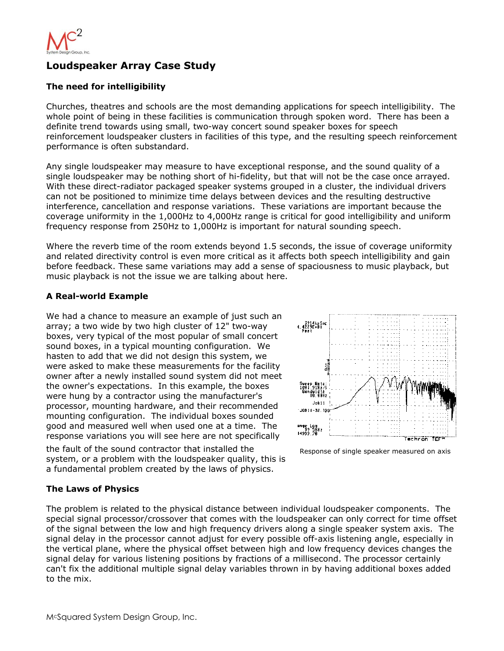

# **Loudspeaker Array Case Study**

### **The need for intelligibility**

Churches, theatres and schools are the most demanding applications for speech intelligibility. The whole point of being in these facilities is communication through spoken word. There has been a definite trend towards using small, two-way concert sound speaker boxes for speech reinforcement loudspeaker clusters in facilities of this type, and the resulting speech reinforcement performance is often substandard.

Any single loudspeaker may measure to have exceptional response, and the sound quality of a single loudspeaker may be nothing short of hi-fidelity, but that will not be the case once arrayed. With these direct-radiator packaged speaker systems grouped in a cluster, the individual drivers can not be positioned to minimize time delays between devices and the resulting destructive interference, cancellation and response variations. These variations are important because the coverage uniformity in the 1,000Hz to 4,000Hz range is critical for good intelligibility and uniform frequency response from 250Hz to 1,000Hz is important for natural sounding speech.

Where the reverb time of the room extends beyond 1.5 seconds, the issue of coverage uniformity and related directivity control is even more critical as it affects both speech intelligibility and gain before feedback. These same variations may add a sense of spaciousness to music playback, but music playback is not the issue we are talking about here.

### **A Real-world Example**

We had a chance to measure an example of just such an array; a two wide by two high cluster of 12" two-way boxes, very typical of the most popular of small concert sound boxes, in a typical mounting configuration. We hasten to add that we did not design this system, we were asked to make these measurements for the facility owner after a newly installed sound system did not meet the owner's expectations. In this example, the boxes were hung by a contractor using the manufacturer's processor, mounting hardware, and their recommended mounting configuration. The individual boxes sounded good and measured well when used one at a time. The response variations you will see here are not specifically

the fault of the sound contractor that installed the system, or a problem with the loudspeaker quality, this is a fundamental problem created by the laws of physics.



Response of single speaker measured on axis

### **The Laws of Physics**

The problem is related to the physical distance between individual loudspeaker components. The special signal processor/crossover that comes with the loudspeaker can only correct for time offset of the signal between the low and high frequency drivers along a single speaker system axis. The signal delay in the processor cannot adjust for every possible off-axis listening angle, especially in the vertical plane, where the physical offset between high and low frequency devices changes the signal delay for various listening positions by fractions of a millisecond. The processor certainly can't fix the additional multiple signal delay variables thrown in by having additional boxes added to the mix.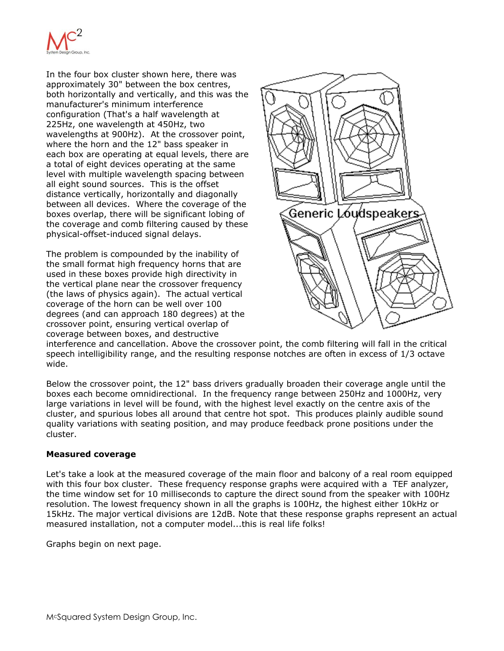

In the four box cluster shown here, there was approximately 30" between the box centres, both horizontally and vertically, and this was the manufacturer's minimum interference configuration (That's a half wavelength at 225Hz, one wavelength at 450Hz, two wavelengths at 900Hz). At the crossover point, where the horn and the 12" bass speaker in each box are operating at equal levels, there are a total of eight devices operating at the same level with multiple wavelength spacing between all eight sound sources. This is the offset distance vertically, horizontally and diagonally between all devices. Where the coverage of the boxes overlap, there will be significant lobing of the coverage and comb filtering caused by these physical-offset-induced signal delays.

The problem is compounded by the inability of the small format high frequency horns that are used in these boxes provide high directivity in the vertical plane near the crossover frequency (the laws of physics again). The actual vertical coverage of the horn can be well over 100 degrees (and can approach 180 degrees) at the crossover point, ensuring vertical overlap of coverage between boxes, and destructive



interference and cancellation. Above the crossover point, the comb filtering will fall in the critical speech intelligibility range, and the resulting response notches are often in excess of 1/3 octave wide.

Below the crossover point, the 12" bass drivers gradually broaden their coverage angle until the boxes each become omnidirectional. In the frequency range between 250Hz and 1000Hz, very large variations in level will be found, with the highest level exactly on the centre axis of the cluster, and spurious lobes all around that centre hot spot. This produces plainly audible sound quality variations with seating position, and may produce feedback prone positions under the cluster.

### **Measured coverage**

Let's take a look at the measured coverage of the main floor and balcony of a real room equipped with this four box cluster. These frequency response graphs were acquired with a TEF analyzer, the time window set for 10 milliseconds to capture the direct sound from the speaker with 100Hz resolution. The lowest frequency shown in all the graphs is 100Hz, the highest either 10kHz or 15kHz. The major vertical divisions are 12dB. Note that these response graphs represent an actual measured installation, not a computer model...this is real life folks!

Graphs begin on next page.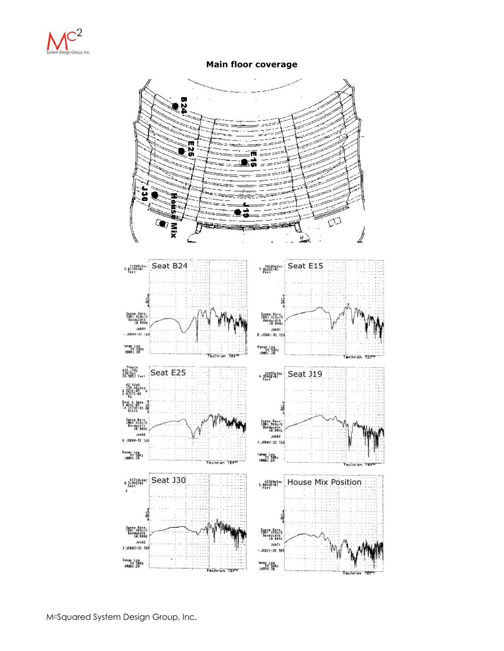

**Main floor coverage** 

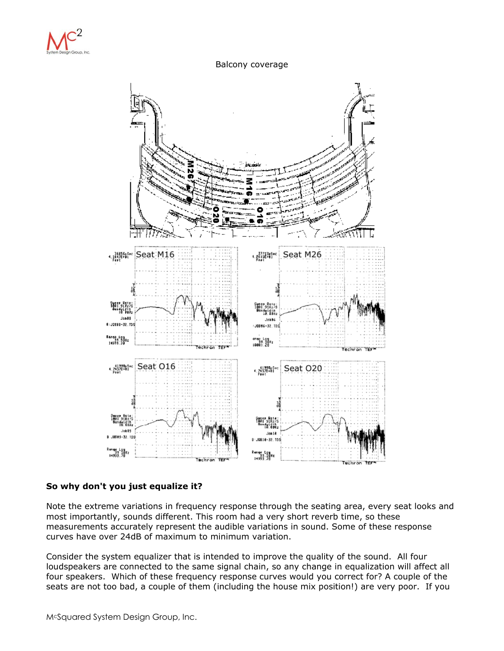

#### Balcony coverage



### **So why don't you just equalize it?**

Note the extreme variations in frequency response through the seating area, every seat looks and most importantly, sounds different. This room had a very short reverb time, so these measurements accurately represent the audible variations in sound. Some of these response curves have over 24dB of maximum to minimum variation.

Consider the system equalizer that is intended to improve the quality of the sound. All four loudspeakers are connected to the same signal chain, so any change in equalization will affect all four speakers. Which of these frequency response curves would you correct for? A couple of the seats are not too bad, a couple of them (including the house mix position!) are very poor. If you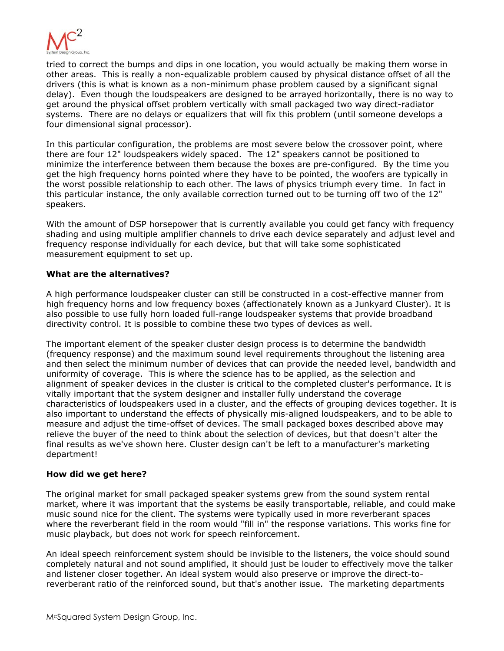

tried to correct the bumps and dips in one location, you would actually be making them worse in other areas. This is really a non-equalizable problem caused by physical distance offset of all the drivers (this is what is known as a non-minimum phase problem caused by a significant signal delay). Even though the loudspeakers are designed to be arrayed horizontally, there is no way to get around the physical offset problem vertically with small packaged two way direct-radiator systems. There are no delays or equalizers that will fix this problem (until someone develops a four dimensional signal processor).

In this particular configuration, the problems are most severe below the crossover point, where there are four 12" loudspeakers widely spaced. The 12" speakers cannot be positioned to minimize the interference between them because the boxes are pre-configured. By the time you get the high frequency horns pointed where they have to be pointed, the woofers are typically in the worst possible relationship to each other. The laws of physics triumph every time. In fact in this particular instance, the only available correction turned out to be turning off two of the 12" speakers.

With the amount of DSP horsepower that is currently available you could get fancy with frequency shading and using multiple amplifier channels to drive each device separately and adjust level and frequency response individually for each device, but that will take some sophisticated measurement equipment to set up.

### **What are the alternatives?**

A high performance loudspeaker cluster can still be constructed in a cost-effective manner from high frequency horns and low frequency boxes (affectionately known as a Junkyard Cluster). It is also possible to use fully horn loaded full-range loudspeaker systems that provide broadband directivity control. It is possible to combine these two types of devices as well.

The important element of the speaker cluster design process is to determine the bandwidth (frequency response) and the maximum sound level requirements throughout the listening area and then select the minimum number of devices that can provide the needed level, bandwidth and uniformity of coverage. This is where the science has to be applied, as the selection and alignment of speaker devices in the cluster is critical to the completed cluster's performance. It is vitally important that the system designer and installer fully understand the coverage characteristics of loudspeakers used in a cluster, and the effects of grouping devices together. It is also important to understand the effects of physically mis-aligned loudspeakers, and to be able to measure and adjust the time-offset of devices. The small packaged boxes described above may relieve the buyer of the need to think about the selection of devices, but that doesn't alter the final results as we've shown here. Cluster design can't be left to a manufacturer's marketing department!

### **How did we get here?**

The original market for small packaged speaker systems grew from the sound system rental market, where it was important that the systems be easily transportable, reliable, and could make music sound nice for the client. The systems were typically used in more reverberant spaces where the reverberant field in the room would "fill in" the response variations. This works fine for music playback, but does not work for speech reinforcement.

An ideal speech reinforcement system should be invisible to the listeners, the voice should sound completely natural and not sound amplified, it should just be louder to effectively move the talker and listener closer together. An ideal system would also preserve or improve the direct-toreverberant ratio of the reinforced sound, but that's another issue. The marketing departments